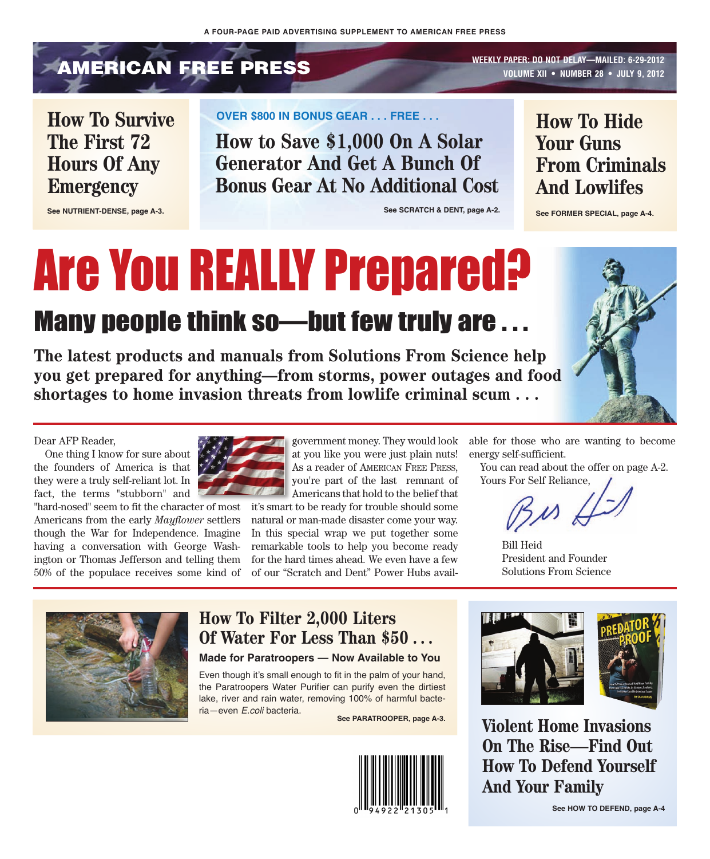# **AMERICAN FREE PRESS** WEEKLY PAPER: DO NOT DELAY—MAILED: 6-29-2012

**VOLUME XII • NUMBER 28 • JULY 9, 2012**

### **How To Survive The First 72 Hours Of Any Emergency**

**See NUTRIENT-DENSE, page A-3.**

#### **OVER \$800 IN BONUS GEAR . . . FREE . . .**

**How to Save \$1,000 On A Solar Generator And Get A Bunch Of Bonus Gear At No Additional Cost**

**See SCRATCH & DENT, page A-2.**

### **How To Hide Your Guns From Criminals And Lowlifes**

**See FORMER SPECIAL, page A-4.**

# Are You REALLY Prepared?

### Many people think so—but few truly are . . .

**The latest products and manuals from Solutions From Science help you get prepared for anything—from storms, power outages and food shortages to home invasion threats from lowlife criminal scum . . .**



Dear AFP Reader,

One thing I know for sure about the founders of America is that they were a truly self-reliant lot. In fact, the terms "stubborn" and

"hard-nosed" seem to fit the character of most Americans from the early *Mayflower* settlers though the War for Independence. Imagine having a conversation with George Washington or Thomas Jefferson and telling them 50% of the populace receives some kind of



government money. They would look at you like you were just plain nuts! As a reader of AMERICAN FREE PRESS, you're part of the last remnant of Americans that hold to the belief that

it's smart to be ready for trouble should some natural or man-made disaster come your way. In this special wrap we put together some remarkable tools to help you become ready for the hard times ahead. We even have a few of our "Scratch and Dent" Power Hubs available for those who are wanting to become energy self-sufficient.

You can read about the offer on page A-2. Yours For Self Reliance,

Bill Heid President and Founder Solutions From Science



### **How To Filter 2,000 Liters Of Water For Less Than \$50 . . .**

#### **Made for Paratroopers — Now Available to You**

Even though it's small enough to fit in the palm of your hand, the Paratroopers Water Purifier can purify even the dirtiest lake, river and rain water, removing 100% of harmful bacteria—even *E.coli* bacteria.





**See PARATROOPER, page A-3. Violent Home Invasions On The Rise—Find Out How To Defend Yourself And Your Family**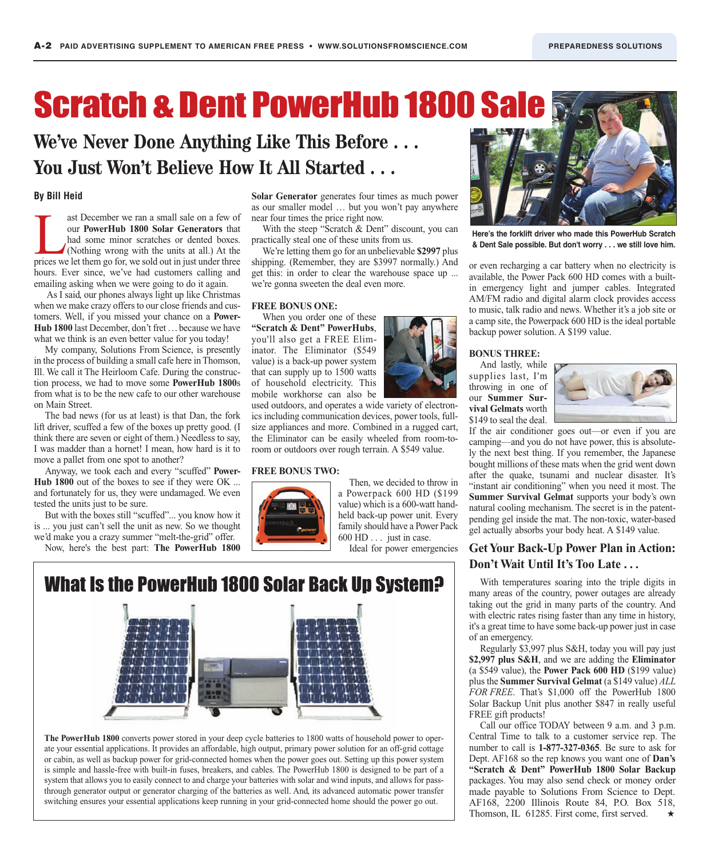# Scratch & Dent PowerHub 1800 Sale

### **We've Never Done Anything Like This Before . . . You Just Won't Believe How It All Started . . .**

#### **By Bill Heid**

ast December we ran a small sale on a few of<br>
our **PowerHub 1800 Solar Generators** that<br>
had some minor scratches or dented boxes.<br>
(Nothing wrong with the units at all.) At the<br>
prices we let them go for, we sold out in j our **PowerHub 1800 Solar Generators** that had some minor scratches or dented boxes. (Nothing wrong with the units at all.) At the hours. Ever since, we've had customers calling and emailing asking when we were going to do it again.

As I said, our phones always light up like Christmas when we make crazy offers to our close friends and customers. Well, if you missed your chance on a **Power-Hub 1800** last December, don't fret ... because we have what we think is an even better value for you today!

My company, Solutions From Science, is presently in the process of building a small cafe here in Thomson, Ill. We call it The Heirloom Cafe. During the construction process, we had to move some **PowerHub 1800**s from what is to be the new cafe to our other warehouse on Main Street.

The bad news (for us at least) is that Dan, the fork lift driver, scuffed a few of the boxes up pretty good. (I think there are seven or eight of them.) Needless to say, I was madder than a hornet! I mean, how hard is it to move a pallet from one spot to another?

Anyway, we took each and every "scuffed" **Power-Hub 1800** out of the boxes to see if they were OK ... and fortunately for us, they were undamaged. We even tested the units just to be sure.

But with the boxes still "scuffed"... you know how it is ... you just can't sell the unit as new. So we thought we'd make you a crazy summer "melt-the-grid" offer.

Now, here's the best part: **The PowerHub 1800**

**Solar Generator** generates four times as much power as our smaller model … but you won't pay anywhere near four times the price right now.

With the steep "Scratch & Dent" discount, you can practically steal one of these units from us.

We're letting them go for an unbelievable **\$2997** plus shipping. (Remember, they are \$3997 normally.) And get this: in order to clear the warehouse space up ... we're gonna sweeten the deal even more.

#### **FREE BONUS ONE:**

When you order one of these **"Scratch & Dent" PowerHubs**, you'll also get a FREE Eliminator. The Eliminator (\$549 value) is a back-up power system that can supply up to 1500 watts of household electricity. This mobile workhorse can also be

used outdoors, and operates a wide variety of electronics including communication devices, power tools, fullsize appliances and more. Combined in a rugged cart, the Eliminator can be easily wheeled from room-toroom or outdoors over rough terrain. A \$549 value.

#### **FREE BONUS TWO:**



Then, we decided to throw in a Powerpack 600 HD (\$199 value) which is a 600-watt handheld back-up power unit. Every family should have a Power Pack 600 HD . . . just in case.

Ideal for power emergencies







**Here's the forklift driver who made this PowerHub Scratch & Dent Sale possible. But don't worry . . . we still love him.**

or even recharging a car battery when no electricity is available, the Power Pack 600 HD comes with a builtin emergency light and jumper cables. Integrated AM/FM radio and digital alarm clock provides access to music, talk radio and news. Whether it's a job site or a camp site, the Powerpack 600 HD is the ideal portable backup power solution. A \$199 value.

#### **BONUS THREE:**

And lastly, while supplies last, I'm throwing in one of our **Summer Survival Gelmats** worth \$149 to seal the deal.



If the air conditioner goes out—or even if you are camping—and you do not have power, this is absolutely the next best thing. If you remember, the Japanese bought millions of these mats when the grid went down after the quake, tsunami and nuclear disaster. It's "instant air conditioning" when you need it most. The **Summer Survival Gelmat** supports your body's own natural cooling mechanism. The secret is in the patentpending gel inside the mat. The non-toxic, water-based gel actually absorbs your body heat. A \$149 value.

#### **Get Your Back-Up Power Plan in Action: Don't Wait Until It's Too Late . . .**

With temperatures soaring into the triple digits in many areas of the country, power outages are already taking out the grid in many parts of the country. And with electric rates rising faster than any time in history, it's a great time to have some back-up power just in case of an emergency.

Regularly \$3,997 plus S&H, today you will pay just **\$2,997 plus S&H**, and we are adding the **Eliminator** (a \$549 value), the **Power Pack 600 HD** (\$199 value) plus the **Summer Survival Gelmat** (a \$149 value) *ALL FOR FREE*. That's \$1,000 off the PowerHub 1800 Solar Backup Unit plus another \$847 in really useful FREE gift products!

Call our office TODAY between 9 a.m. and 3 p.m. Central Time to talk to a customer service rep. The number to call is **1-877-327-0365**. Be sure to ask for Dept. AF168 so the rep knows you want one of **Dan's "Scratch & Dent" PowerHub 1800 Solar Backup** packages. You may also send check or money order made payable to Solutions From Science to Dept. AF168, 2200 Illinois Route 84, P.O. Box 518, Thomson, IL 61285. First come, first served.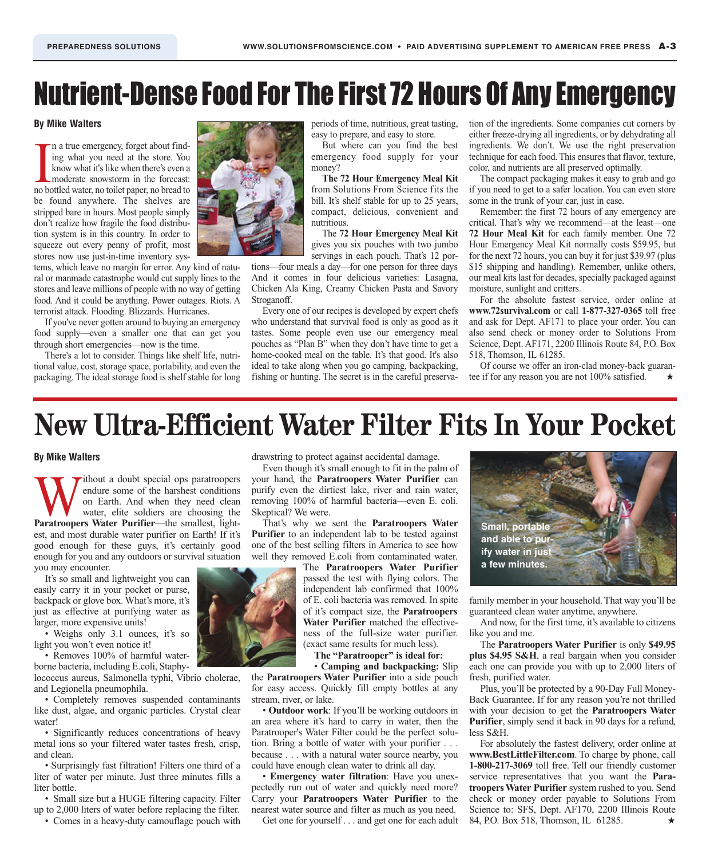# Nutrient-Dense Food For The First 72 Hours Of Any Emergency

#### **By Mike Walters**

In a true emergency, forget about finding what you need at the store. You know what it's like when there's even a moderate snowstorm in the forecast: no bottled water, no toilet paper, no bread to n a true emergency, forget about finding what you need at the store. You know what it's like when there's even a moderate snowstorm in the forecast: be found anywhere. The shelves are stripped bare in hours. Most people simply don't realize how fragile the food distribution system is in this country. In order to squeeze out every penny of profit, most stores now use just-in-time inventory sys-

tems, which leave no margin for error. Any kind of natural or manmade catastrophe would cut supply lines to the stores and leave millions of people with no way of getting food. And it could be anything. Power outages. Riots. A terrorist attack. Flooding. Blizzards. Hurricanes.

If you've never gotten around to buying an emergency food supply—even a smaller one that can get you through short emergencies—now is the time.

There's a lot to consider. Things like shelf life, nutritional value, cost, storage space, portability, and even the packaging. The ideal storage food is shelf stable for long



periods of time, nutritious, great tasting, easy to prepare, and easy to store.

But where can you find the best emergency food supply for your money?

**The 72 Hour Emergency Meal Kit** from Solutions From Science fits the bill. It's shelf stable for up to 25 years, compact, delicious, convenient and nutritious.

The **72 Hour Emergency Meal Kit** gives you six pouches with two jumbo

servings in each pouch. That's 12 portions—four meals a day—for one person for three days And it comes in four delicious varieties: Lasagna, Chicken Ala King, Creamy Chicken Pasta and Savory Stroganoff.

Every one of our recipes is developed by expert chefs who understand that survival food is only as good as it tastes. Some people even use our emergency meal pouches as "Plan B" when they don't have time to get a home-cooked meal on the table. It's that good. It's also ideal to take along when you go camping, backpacking, fishing or hunting. The secret is in the careful preservation of the ingredients. Some companies cut corners by either freeze-drying all ingredients, or by dehydrating all ingredients. We don't. We use the right preservation technique for each food. This ensures that flavor, texture, color, and nutrients are all preserved optimally.

The compact packaging makes it easy to grab and go if you need to get to a safer location. You can even store some in the trunk of your car, just in case.

Remember: the first 72 hours of any emergency are critical. That's why we recommend—at the least—one **72 Hour Meal Kit** for each family member. One 72 Hour Emergency Meal Kit normally costs \$59.95, but for the next 72 hours, you can buy it for just \$39.97 (plus \$15 shipping and handling). Remember, unlike others, our meal kits last for decades, specially packaged against moisture, sunlight and critters.

For the absolute fastest service, order online at **www.72survival.com** or call **1-877-327-0365** toll free and ask for Dept. AF171 to place your order. You can also send check or money order to Solutions From Science, Dept. AF171, 2200 Illinois Route 84, P.O. Box 518, Thomson, IL 61285.

Of course we offer an iron-clad money-back guarantee if for any reason you are not 100% satisfied.

### **New Ultra-Efficient Water Filter Fits In Your Pocket**

#### **By Mike Walters**

Without a doubt special ops paratroopers<br>
endure some of the harshest conditions<br>
on Earth. And when they need clean<br>
water, elite soldiers are choosing the<br>
Paratroopers Water Purifier—the smallest, lightendure some of the harshest conditions on Earth. And when they need clean water, elite soldiers are choosing the est, and most durable water purifier on Earth! If it's good enough for these guys, it's certainly good enough for you and any outdoors or survival situation you may encounter.

It's so small and lightweight you can easily carry it in your pocket or purse, backpack or glove box. What's more, it's just as effective at purifying water as larger, more expensive units!

• Weighs only 3.1 ounces, it's so light you won't even notice it!

• Removes 100% of harmful waterborne bacteria, including E.coli, Staphy-

lococcus aureus, Salmonella typhi, Vibrio cholerae, and Legionella pneumophila.

• Completely removes suspended contaminants like dust, algae, and organic particles. Crystal clear water!

• Significantly reduces concentrations of heavy metal ions so your filtered water tastes fresh, crisp, and clean.

• Surprisingly fast filtration! Filters one third of a liter of water per minute. Just three minutes fills a liter bottle.

• Small size but a HUGE filtering capacity. Filter up to 2,000 liters of water before replacing the filter.

• Comes in a heavy-duty camouflage pouch with



Even though it's small enough to fit in the palm of your hand, the **Paratroopers Water Purifier** can purify even the dirtiest lake, river and rain water, removing 100% of harmful bacteria—even E. coli. Skeptical? We were.

That's why we sent the **Paratroopers Water Purifier** to an independent lab to be tested against one of the best selling filters in America to see how well they removed E.coli from contaminated water.

> The **Paratroopers Water Purifier** passed the test with flying colors. The independent lab confirmed that 100% of E. coli bacteria was removed. In spite of it's compact size, the **Paratroopers Water Purifier** matched the effectiveness of the full-size water purifier. (exact same results for much less).

**The "Paratrooper" is ideal for:**

• **Camping and backpacking:** Slip the **Paratroopers Water Purifier** into a side pouch for easy access. Quickly fill empty bottles at any stream, river, or lake.

• **Outdoor work**: If you'll be working outdoors in an area where it's hard to carry in water, then the Paratrooper's Water Filter could be the perfect solution. Bring a bottle of water with your purifier . . . because . . . with a natural water source nearby, you could have enough clean water to drink all day.

• **Emergency water filtration**: Have you unexpectedly run out of water and quickly need more? Carry your **Paratroopers Water Purifier** to the nearest water source and filter as much as you need.

Get one for yourself . . . and get one for each adult



family member in your household. That way you'll be guaranteed clean water anytime, anywhere.

And now, for the first time, it's available to citizens like you and me.

The **Paratroopers Water Purifier** is only **\$49.95 plus \$4.95 S&H**, a real bargain when you consider each one can provide you with up to 2,000 liters of fresh, purified water.

Plus, you'll be protected by a 90-Day Full Money-Back Guarantee. If for any reason you're not thrilled with your decision to get the **Paratroopers Water Purifier**, simply send it back in 90 days for a refund, less S&H.

For absolutely the fastest delivery, order online at **www.BestLittleFilter.com**. To charge by phone, call **1-800-217-3069** toll free. Tell our friendly customer service representatives that you want the **Paratroopers Water Purifier** system rushed to you. Send check or money order payable to Solutions From Science to: SFS, Dept. AF170, 2200 Illinois Route 84, P.O. Box 518, Thomson, IL 61285. **★**